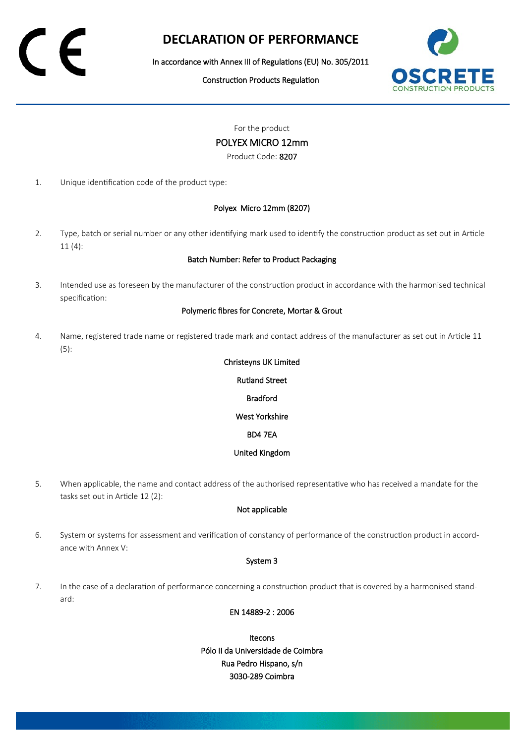## **DECLARATION OF PERFORMANCE**

In accordance with Annex III of Regulations (EU) No. 305/2011

Construction Products Regulation



For the product

## POLYEX MICRO 12mm

Product Code: 8207

1. Unique identification code of the product type:

## Polyex Micro 12mm (8207)

2. Type, batch or serial number or any other identifying mark used to identify the construction product as set out in Article 11 (4):

### Batch Number: Refer to Product Packaging

3. Intended use as foreseen by the manufacturer of the construction product in accordance with the harmonised technical specification:

#### Polymeric fibres for Concrete, Mortar & Grout

4. Name, registered trade name or registered trade mark and contact address of the manufacturer as set out in Article 11 (5):

# Christeyns UK Limited Rutland Street Bradford West Yorkshire

#### BD4 7EA

## United Kingdom

5. When applicable, the name and contact address of the authorised representative who has received a mandate for the tasks set out in Article 12 (2):

## Not applicable

6. System or systems for assessment and verification of constancy of performance of the construction product in accordance with Annex V:

### System 3

7. In the case of a declaration of performance concerning a construction product that is covered by a harmonised standard:

## EN 14889-2 : 2006

Itecons Pólo II da Universidade de Coimbra Rua Pedro Hispano, s/n 3030-289 Coimbra